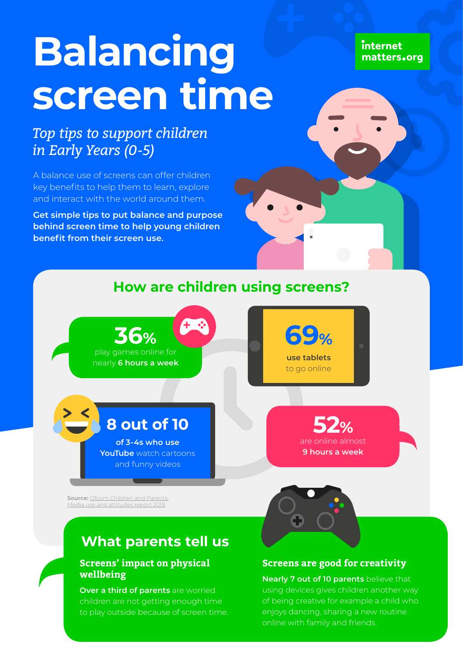# **Balancing screen time**

internet matters.org

## *Top tips to support children in Early Years (0-5)*

A balance use of screens can offer children key benefits to help them to learn, explore and interact with the world around them.

**Get simple tips to put balance and purpose behind screen time to help young children benefit from their screen use.**

## **How are children using screens?**





**69%**

## **8 out of 10**

**of 3-4s who use YouTube** watch cartoons and funny videos

**52%** are online almost **9 hours a week**

**Source:** [Ofcom Children and Parents](https://www.ofcom.org.uk/__data/assets/pdf_file/0024/134907/Children-and-Parents-Media-Use-and-Attitudes-2018.pdf)  [Media use and attitudes report 2018](https://www.ofcom.org.uk/__data/assets/pdf_file/0024/134907/Children-and-Parents-Media-Use-and-Attitudes-2018.pdf)

## **What parents tell us**

## **Screens' impact on physical wellbeing**

**Over a third of parents** are worried children are not getting enough time to play outside because of screen time.



## **Screens are good for creativity**

**Nearly 7 out of 10 parents** believe that using devices gives children another way of being creative for example a child who enjoys dancing, sharing a new routine online with family and friends.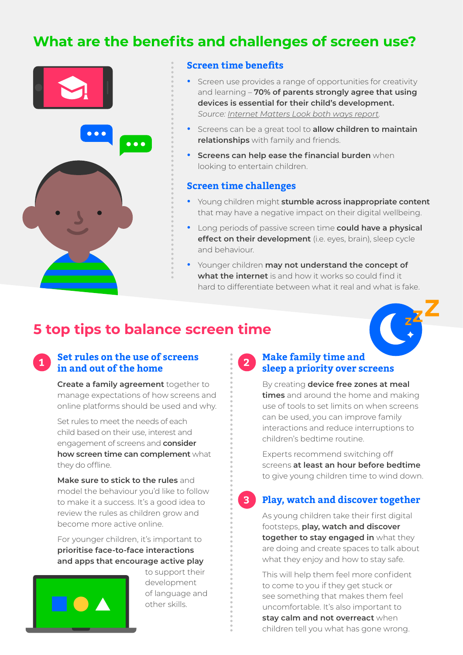## **What are the benefits and challenges of screen use?**



#### **Screen time benefits**

- **•** Screen use provides a range of opportunities for creativity and learning – **70% of parents strongly agree that using devices is essential for their child's development.** *Source: [Internet Matters Look both ways report](https://www.internetmatters.org/about-us/screen-time-report-2018).*
- **•** Screens can be a great tool to **allow children to maintain relationships** with family and friends.
- **• Screens can help ease the financial burden** when looking to entertain children.

#### **Screen time challenges**

- **•** Young children might **stumble across inappropriate content** that may have a negative impact on their digital wellbeing.
- **•** Long periods of passive screen time **could have a physical effect on their development** (i.e. eyes, brain), sleep cycle and behaviour.
- **•** Younger children **may not understand the concept of what the internet** is and how it works so could find it hard to differentiate between what it real and what is fake.

## **5 top tips to balance screen time**



## **Set rules on the use of screens in and out of the home 1 2**

**Create a family agreement** together to manage expectations of how screens and online platforms should be used and why.

Set rules to meet the needs of each child based on their use, interest and engagement of screens and **consider how screen time can complement** what they do offline.

**Make sure to stick to the rules** and model the behaviour you'd like to follow to make it a success. It's a good idea to review the rules as children grow and become more active online.

For younger children, it's important to **prioritise face-to-face interactions and apps that encourage active play**



to support their development of language and other skills.

## **Make family time and sleep a priority over screens**

By creating **device free zones at meal times** and around the home and making use of tools to set limits on when screens can be used, you can improve family interactions and reduce interruptions to children's bedtime routine.

Experts recommend switching off screens **at least an hour before bedtime** to give young children time to wind down.

#### **3**

## **Play, watch and discover together**

As young children take their first digital footsteps, **play, watch and discover together to stay engaged in** what they are doing and create spaces to talk about what they enjoy and how to stay safe.

This will help them feel more confident to come to you if they get stuck or see something that makes them feel uncomfortable. It's also important to **stay calm and not overreact** when children tell you what has gone wrong.